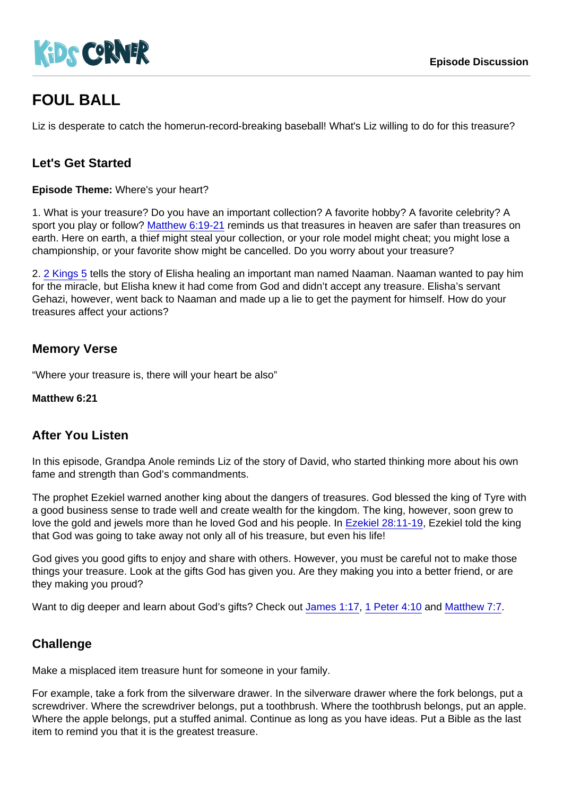# FOUL BALL

Liz is desperate to catch the homerun-record-breaking baseball! What's Liz willing to do for this treasure?

## Let's Get Started

Episode Theme: Where's your heart?

1. What is your treasure? Do you have an important collection? A favorite hobby? A favorite celebrity? A sport you play or follow? [Matthew 6:19-21](https://www.biblegateway.com/passage/?search=Matthew+6:19-21) reminds us that treasures in heaven are safer than treasures on earth. Here on earth, a thief might steal your collection, or your role model might cheat; you might lose a championship, or your favorite show might be cancelled. Do you worry about your treasure?

2. [2 Kings 5](https://www.biblegateway.com/passage/?search=2+Kings+5) tells the story of Elisha healing an important man named Naaman. Naaman wanted to pay him for the miracle, but Elisha knew it had come from God and didn't accept any treasure. Elisha's servant Gehazi, however, went back to Naaman and made up a lie to get the payment for himself. How do your treasures affect your actions?

### Memory Verse

"Where your treasure is, there will your heart be also"

Matthew 6:21

### After You Listen

In this episode, Grandpa Anole reminds Liz of the story of David, who started thinking more about his own fame and strength than God's commandments.

The prophet Ezekiel warned another king about the dangers of treasures. God blessed the king of Tyre with a good business sense to trade well and create wealth for the kingdom. The king, however, soon grew to love the gold and jewels more than he loved God and his people. In [Ezekiel 28:11-19](https://www.biblegateway.com/passage/?search=Ezekiel+28:11-19), Ezekiel told the king that God was going to take away not only all of his treasure, but even his life!

God gives you good gifts to enjoy and share with others. However, you must be careful not to make those things your treasure. Look at the gifts God has given you. Are they making you into a better friend, or are they making you proud?

Want to dig deeper and learn about God's gifts? Check out [James 1:17](https://www.biblegateway.com/passage/?search=James+1:17), [1 Peter 4:10](https://www.biblegateway.com/passage/?search=1+Peter+4:10) and [Matthew 7:7.](https://www.biblegateway.com/passage/?search=Matthew+7:7)

### **Challenge**

Make a misplaced item treasure hunt for someone in your family.

For example, take a fork from the silverware drawer. In the silverware drawer where the fork belongs, put a screwdriver. Where the screwdriver belongs, put a toothbrush. Where the toothbrush belongs, put an apple. Where the apple belongs, put a stuffed animal. Continue as long as you have ideas. Put a Bible as the last item to remind you that it is the greatest treasure.